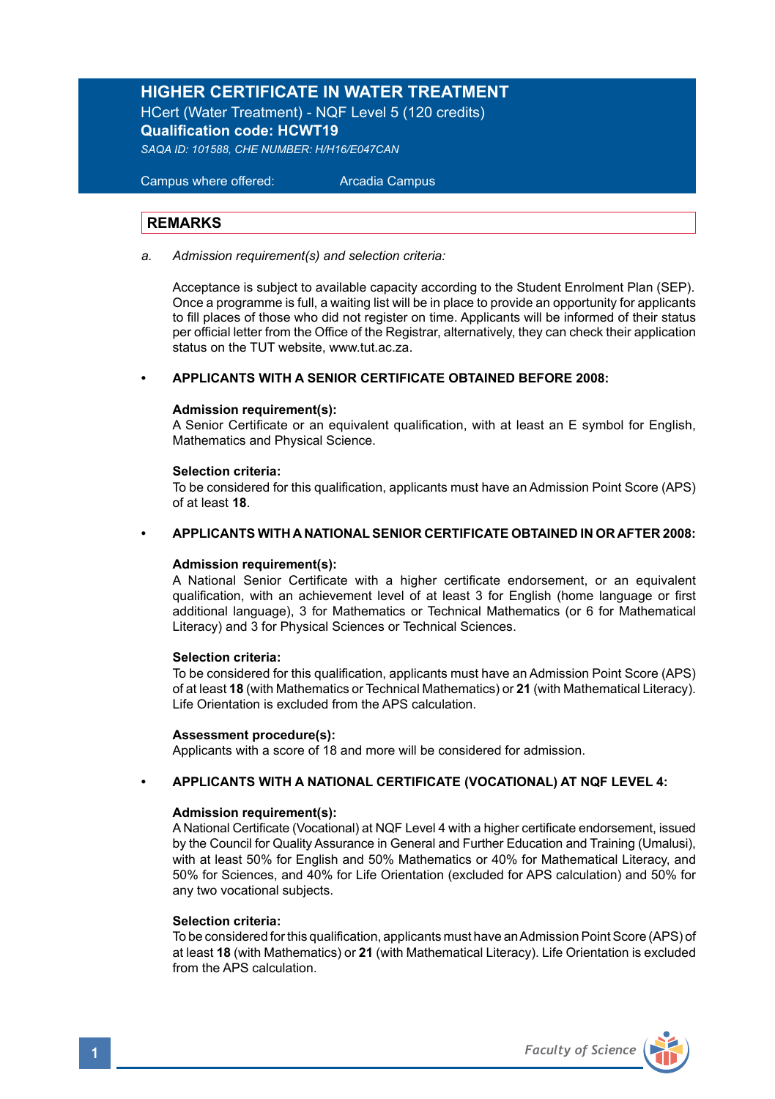# **HIGHER CERTIFICATE IN WATER TREATMENT**

HCert (Water Treatment) - NQF Level 5 (120 credits) **Qualification code: HCWT19**

*SAQA ID: 101588, CHE NUMBER: H/H16/E047CAN*

 Campus where offered: Arcadia Campus

#### **REMARKS**

*a. Admission requirement(s) and selection criteria:* 

 Acceptance is subject to available capacity according to the Student Enrolment Plan (SEP). Once a programme is full, a waiting list will be in place to provide an opportunity for applicants to fill places of those who did not register on time. Applicants will be informed of their status per official letter from the Office of the Registrar, alternatively, they can check their application status on the TUT website, www.tut.ac.za.

#### **• APPLICANTS WITH A SENIOR CERTIFICATE OBTAINED BEFORE 2008:**

#### **Admission requirement(s):**

A Senior Certificate or an equivalent qualification, with at least an E symbol for English, Mathematics and Physical Science.

#### **Selection criteria:**

To be considered for this qualification, applicants must have an Admission Point Score (APS) of at least **18**.

#### **• APPLICANTS WITH A NATIONAL SENIOR CERTIFICATE OBTAINED IN OR AFTER 2008:**

#### **Admission requirement(s):**

A National Senior Certificate with a higher certificate endorsement, or an equivalent qualification, with an achievement level of at least 3 for English (home language or first additional language), 3 for Mathematics or Technical Mathematics (or 6 for Mathematical Literacy) and 3 for Physical Sciences or Technical Sciences.

#### **Selection criteria:**

To be considered for this qualification, applicants must have an Admission Point Score (APS) of at least **18** (with Mathematics or Technical Mathematics) or **21** (with Mathematical Literacy). Life Orientation is excluded from the APS calculation.

#### **Assessment procedure(s):**

Applicants with a score of 18 and more will be considered for admission.

#### **• APPLICANTS WITH A NATIONAL CERTIFICATE (VOCATIONAL) AT NQF LEVEL 4:**

#### **Admission requirement(s):**

A National Certificate (Vocational) at NQF Level 4 with a higher certificate endorsement, issued by the Council for Quality Assurance in General and Further Education and Training (Umalusi), with at least 50% for English and 50% Mathematics or 40% for Mathematical Literacy, and 50% for Sciences, and 40% for Life Orientation (excluded for APS calculation) and 50% for any two vocational subjects.

#### **Selection criteria:**

To be considered for this qualification, applicants must have an Admission Point Score (APS) of at least **18** (with Mathematics) or **21** (with Mathematical Literacy). Life Orientation is excluded from the APS calculation.

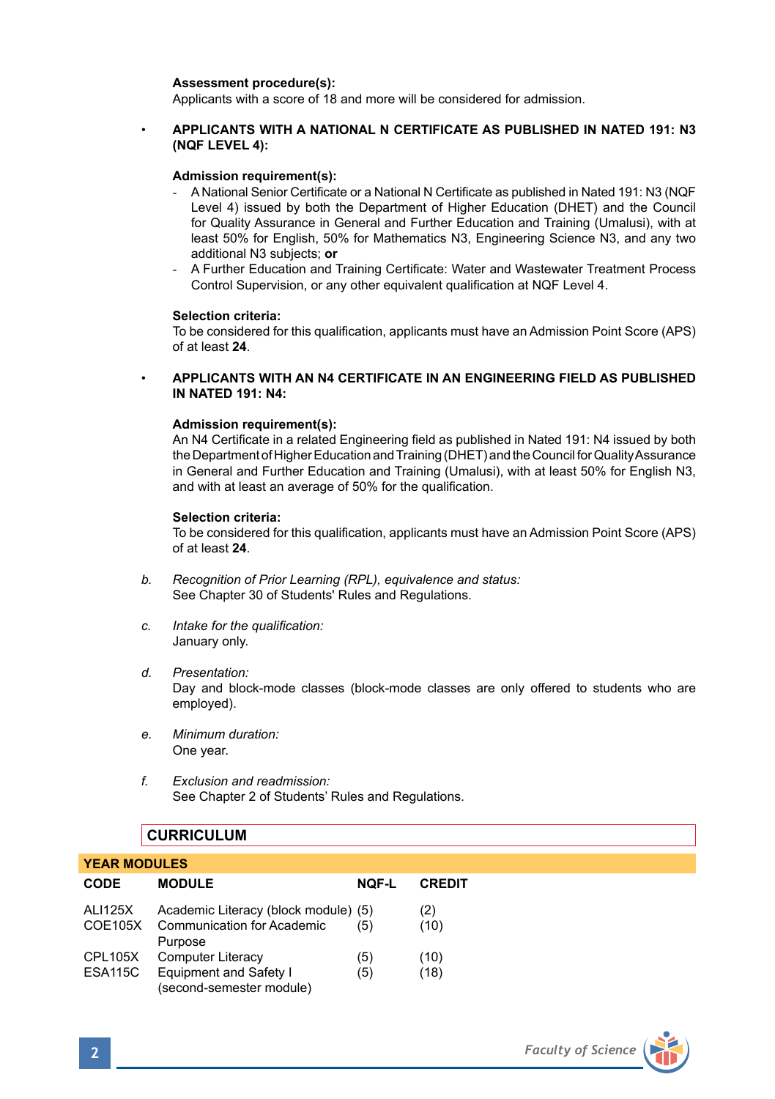#### **Assessment procedure(s):**

Applicants with a score of 18 and more will be considered for admission.

### • **APPLICANTS WITH A NATIONAL N CERTIFICATE AS PUBLISHED IN NATED 191: N3 (NQF LEVEL 4):**

#### **Admission requirement(s):**

- A National Senior Certificate or a National N Certificate as published in Nated 191: N3 (NQF Level 4) issued by both the Department of Higher Education (DHET) and the Council for Quality Assurance in General and Further Education and Training (Umalusi), with at least 50% for English, 50% for Mathematics N3, Engineering Science N3, and any two additional N3 subjects; **or**
- A Further Education and Training Certificate: Water and Wastewater Treatment Process Control Supervision, or any other equivalent qualification at NQF Level 4.

#### **Selection criteria:**

To be considered for this qualification, applicants must have an Admission Point Score (APS) of at least **24**.

• **APPLICANTS WITH AN N4 CERTIFICATE IN AN ENGINEERING FIELD AS PUBLISHED IN NATED 191: N4:**

#### **Admission requirement(s):**

An N4 Certificate in a related Engineering field as published in Nated 191: N4 issued by both the Department of Higher Education and Training (DHET) and the Council for Quality Assurance in General and Further Education and Training (Umalusi), with at least 50% for English N3, and with at least an average of 50% for the qualification.

#### **Selection criteria:**

To be considered for this qualification, applicants must have an Admission Point Score (APS) of at least **24**.

- *b. Recognition of Prior Learning (RPL), equivalence and status:* See Chapter 30 of Students' Rules and Regulations.
- *c. Intake for the qualification:* January only.
- *d. Presentation:* Day and block-mode classes (block-mode classes are only offered to students who are employed).
- *e. Minimum duration:* One year.
- *f. Exclusion and readmission:* See Chapter 2 of Students' Rules and Regulations.

# **CURRICULUM**

| <b>YEAR MODULES</b>              |                                                                                      |              |               |  |  |
|----------------------------------|--------------------------------------------------------------------------------------|--------------|---------------|--|--|
| <b>CODE</b>                      | <b>MODULE</b>                                                                        | <b>NOF-L</b> | <b>CREDIT</b> |  |  |
| <b>ALI125X</b><br>COE105X        | Academic Literacy (block module) (5)<br><b>Communication for Academic</b><br>Purpose | (5)          | (2)<br>(10)   |  |  |
| <b>CPL105X</b><br><b>ESA115C</b> | <b>Computer Literacy</b><br>Equipment and Safety I<br>(second-semester module)       | (5)<br>(5)   | (10)<br>(18)  |  |  |

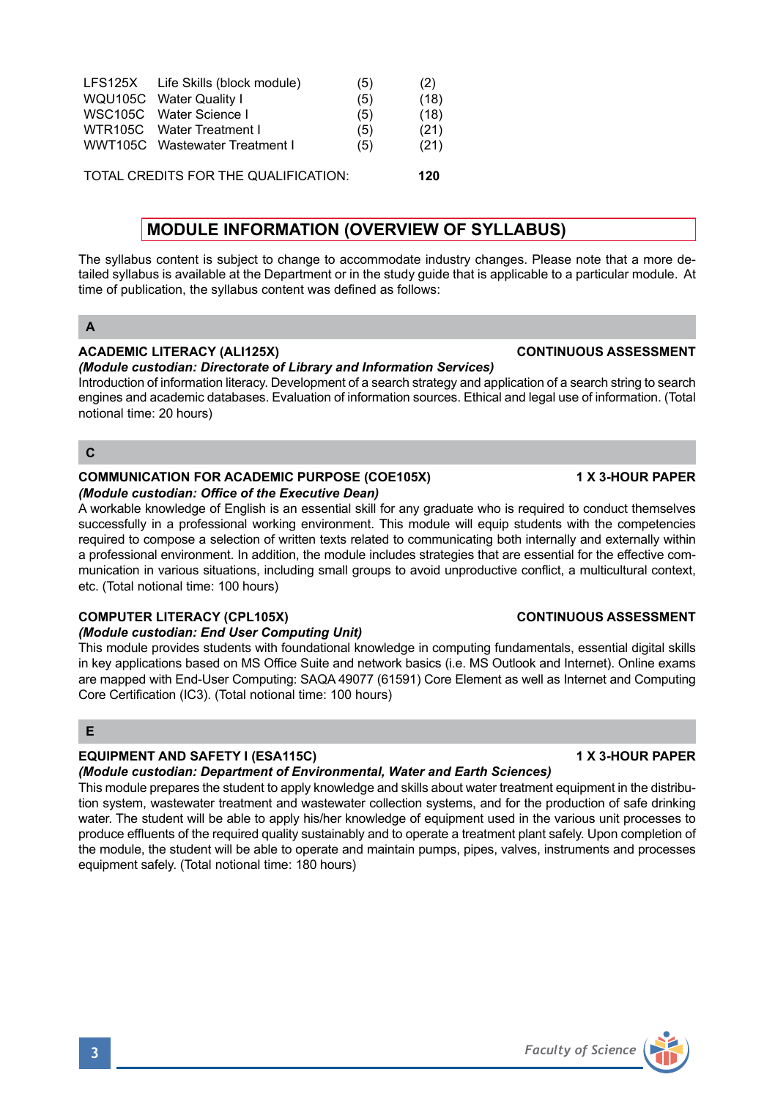| LFS125X Life Skills (block module) | (5) | (2)  |
|------------------------------------|-----|------|
| WQU105C Water Quality I            | (5) | (18) |
| WSC105C Water Science I            | (5) | (18) |
| WTR105C Water Treatment I          | (5) | (21) |
| WWT105C Wastewater Treatment I     | (5) | (21) |
|                                    |     |      |

TOTAL CREDITS FOR THE QUALIFICATION: **120**

# **MODULE INFORMATION (OVERVIEW OF SYLLABUS)**

The syllabus content is subject to change to accommodate industry changes. Please note that a more detailed syllabus is available at the Department or in the study guide that is applicable to a particular module. At time of publication, the syllabus content was defined as follows:

### **A**

# **ACADEMIC LITERACY (ALI125X) CONTINUOUS ASSESSMENT**

# *(Module custodian: Directorate of Library and Information Services)*

Introduction of information literacy. Development of a search strategy and application of a search string to search engines and academic databases. Evaluation of information sources. Ethical and legal use of information. (Total notional time: 20 hours)

### **C**

#### **COMMUNICATION FOR ACADEMIC PURPOSE (COE105X) 1 X 3-HOUR PAPER** *(Module custodian: Office of the Executive Dean)*

A workable knowledge of English is an essential skill for any graduate who is required to conduct themselves successfully in a professional working environment. This module will equip students with the competencies required to compose a selection of written texts related to communicating both internally and externally within a professional environment. In addition, the module includes strategies that are essential for the effective communication in various situations, including small groups to avoid unproductive conflict, a multicultural context, etc. (Total notional time: 100 hours)

### **COMPUTER LITERACY (CPL105X) CONTINUOUS ASSESSMENT**

# *(Module custodian: End User Computing Unit)*

This module provides students with foundational knowledge in computing fundamentals, essential digital skills in key applications based on MS Office Suite and network basics (i.e. MS Outlook and Internet). Online exams are mapped with End-User Computing: SAQA 49077 (61591) Core Element as well as Internet and Computing Core Certification (IC3). (Total notional time: 100 hours)

# **E**

# **EQUIPMENT AND SAFETY I (ESA115C) 1 X 3-HOUR PAPER**

*(Module custodian: Department of Environmental, Water and Earth Sciences)*

This module prepares the student to apply knowledge and skills about water treatment equipment in the distribution system, wastewater treatment and wastewater collection systems, and for the production of safe drinking water. The student will be able to apply his/her knowledge of equipment used in the various unit processes to produce effluents of the required quality sustainably and to operate a treatment plant safely. Upon completion of the module, the student will be able to operate and maintain pumps, pipes, valves, instruments and processes equipment safely. (Total notional time: 180 hours)